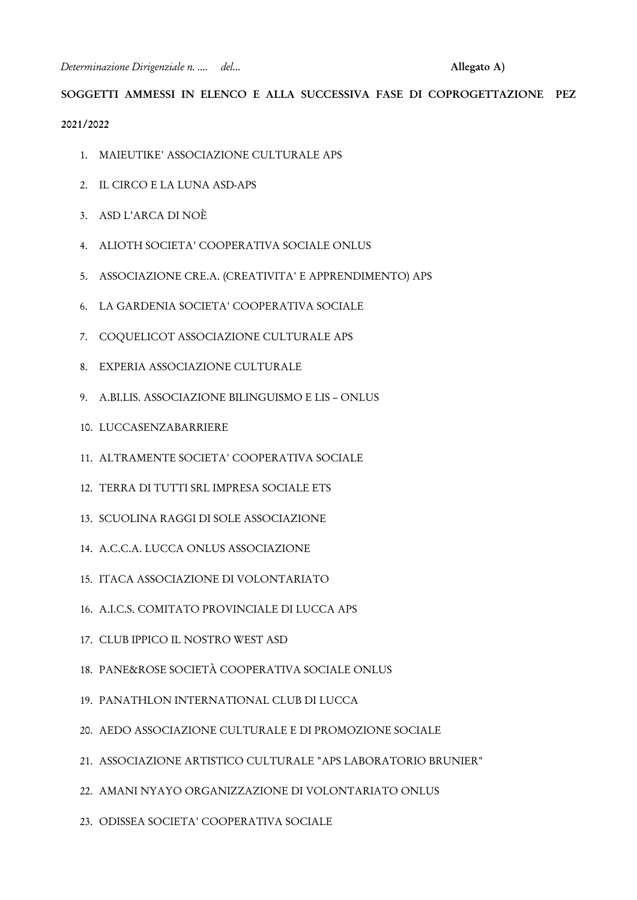*Determinazione Dirigenziale n. .... del...* **Allegato A)**

# **SOGGETTI AMMESSI IN ELENCO E ALLA SUCCESSIVA FASE DI COPROGETTAZIONE PEZ**

#### **2021/2022**

- 1. MAIEUTIKE' ASSOCIAZIONE CULTURALE APS
- 2. IL CIRCO E LA LUNA ASD-APS
- 3. ASD L'ARCA DI NOÈ
- 4. ALIOTH SOCIETA' COOPERATIVA SOCIALE ONLUS
- 5. ASSOCIAZIONE CRE.A. (CREATIVITA' E APPRENDIMENTO) APS
- 6. LA GARDENIA SOCIETA' COOPERATIVA SOCIALE
- 7. COQUELICOT ASSOCIAZIONE CULTURALE APS
- 8. EXPERIA ASSOCIAZIONE CULTURALE
- 9. A.BI.LIS. ASSOCIAZIONE BILINGUISMO E LIS ONLUS
- 10. LUCCASENZABARRIERE
- 11. ALTRAMENTE SOCIETA' COOPERATIVA SOCIALE
- 12. TERRA DI TUTTI SRL IMPRESA SOCIALE ETS
- 13. SCUOLINA RAGGI DI SOLE ASSOCIAZIONE
- 14. A.C.C.A. LUCCA ONLUS ASSOCIAZIONE
- 15. ITACA ASSOCIAZIONE DI VOLONTARIATO
- 16. A.I.C.S. COMITATO PROVINCIALE DI LUCCA APS
- 17. CLUB IPPICO IL NOSTRO WEST ASD
- 18. PANE&ROSE SOCIETÀ COOPERATIVA SOCIALE ONLUS
- 19. PANATHLON INTERNATIONAL CLUB DI LUCCA
- 20. AEDO ASSOCIAZIONE CULTURALE E DI PROMOZIONE SOCIALE
- 21. ASSOCIAZIONE ARTISTICO CULTURALE "APS LABORATORIO BRUNIER"
- 22. AMANI NYAYO ORGANIZZAZIONE DI VOLONTARIATO ONLUS
- 23. ODISSEA SOCIETA' COOPERATIVA SOCIALE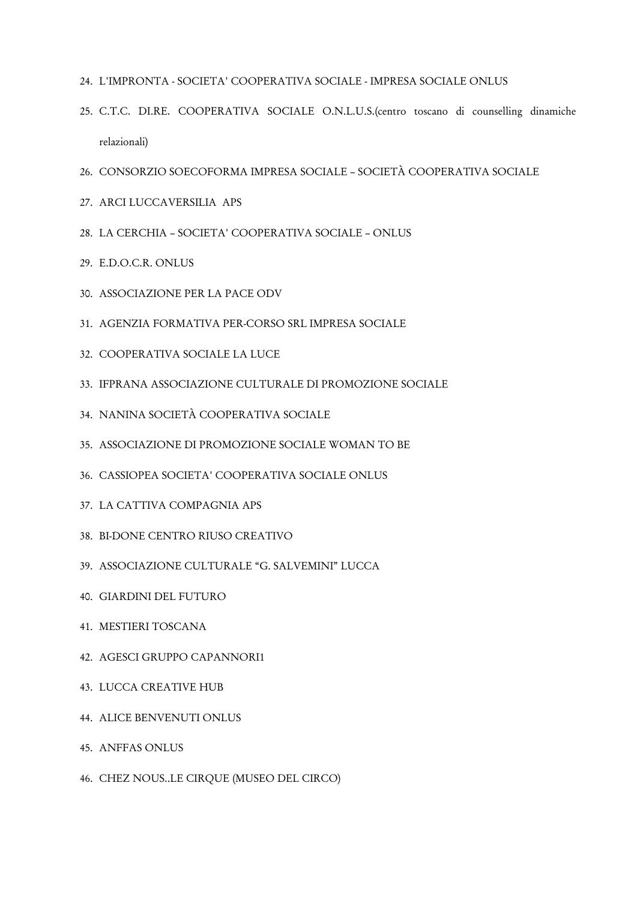- 24. L'IMPRONTA SOCIETA' COOPERATIVA SOCIALE IMPRESA SOCIALE ONLUS
- 25. C.T.C. DI.RE. COOPERATIVA SOCIALE O.N.L.U.S.(centro toscano di counselling dinamiche relazionali)
- 26. CONSORZIO SOECOFORMA IMPRESA SOCIALE SOCIETÀ COOPERATIVA SOCIALE
- 27. ARCI LUCCAVERSILIA APS
- 28. LA CERCHIA SOCIETA' COOPERATIVA SOCIALE ONLUS
- 29. E.D.O.C.R. ONLUS
- 30. ASSOCIAZIONE PER LA PACE ODV
- 31. AGENZIA FORMATIVA PER-CORSO SRL IMPRESA SOCIALE
- 32. COOPERATIVA SOCIALE LA LUCE
- 33. IFPRANA ASSOCIAZIONE CULTURALE DI PROMOZIONE SOCIALE
- 34. NANINA SOCIETÀ COOPERATIVA SOCIALE
- 35. ASSOCIAZIONE DI PROMOZIONE SOCIALE WOMAN TO BE
- 36. CASSIOPEA SOCIETA' COOPERATIVA SOCIALE ONLUS
- 37. LA CATTIVA COMPAGNIA APS
- 38. BI-DONE CENTRO RIUSO CREATIVO
- 39. ASSOCIAZIONE CULTURALE "G. SALVEMINI" LUCCA
- 40. GIARDINI DEL FUTURO
- 41. MESTIERI TOSCANA
- 42. AGESCI GRUPPO CAPANNORI1
- 43. LUCCA CREATIVE HUB
- 44. ALICE BENVENUTI ONLUS
- 45. ANFFAS ONLUS
- 46. CHEZ NOUS..LE CIRQUE (MUSEO DEL CIRCO)